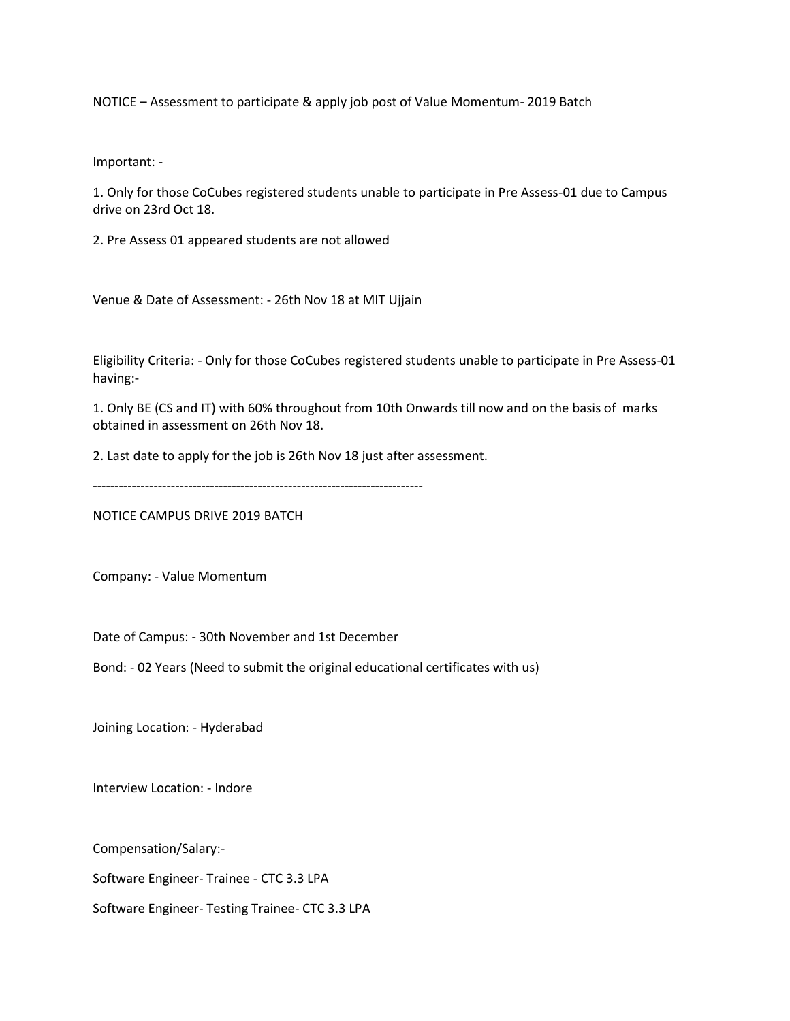NOTICE – Assessment to participate & apply job post of Value Momentum- 2019 Batch

Important: -

1. Only for those CoCubes registered students unable to participate in Pre Assess-01 due to Campus drive on 23rd Oct 18.

2. Pre Assess 01 appeared students are not allowed

Venue & Date of Assessment: - 26th Nov 18 at MIT Ujjain

Eligibility Criteria: - Only for those CoCubes registered students unable to participate in Pre Assess-01 having:-

1. Only BE (CS and IT) with 60% throughout from 10th Onwards till now and on the basis of marks obtained in assessment on 26th Nov 18.

2. Last date to apply for the job is 26th Nov 18 just after assessment.

----------------------------------------------------------------------------

NOTICE CAMPUS DRIVE 2019 BATCH

Company: - Value Momentum

Date of Campus: - 30th November and 1st December

Bond: - 02 Years (Need to submit the original educational certificates with us)

Joining Location: - Hyderabad

Interview Location: - Indore

Compensation/Salary:-

Software Engineer- Trainee - CTC 3.3 LPA

Software Engineer- Testing Trainee- CTC 3.3 LPA